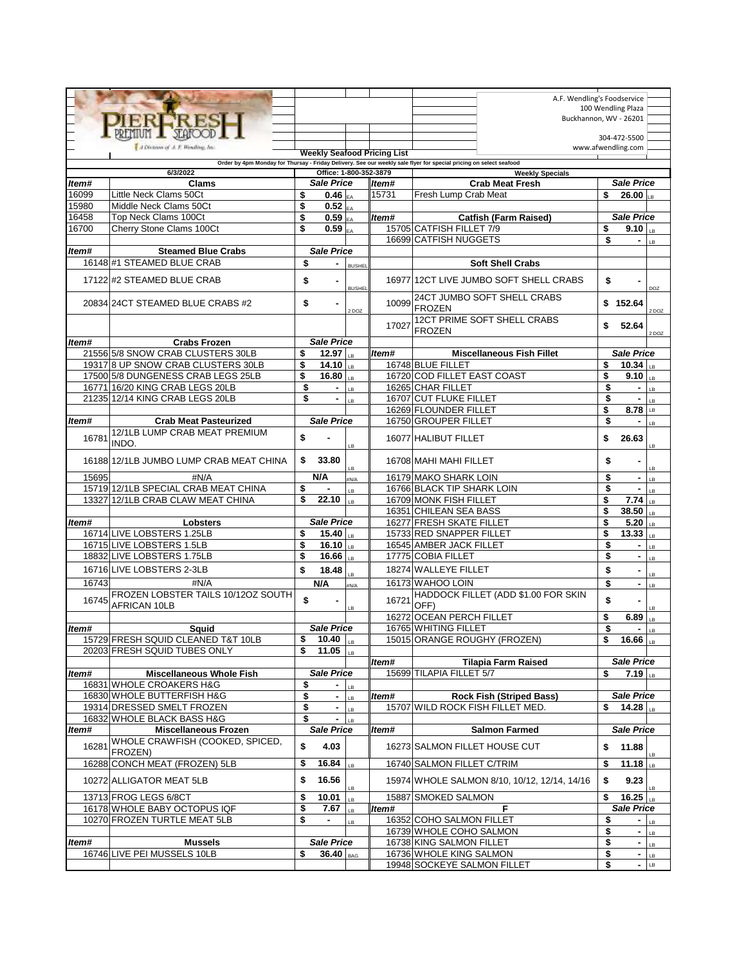|                                                                                                                    |                                                                      |          |                                 |               |       |                                                         | A.F. Wendling's Foodservice<br>100 Wendling Plaza |          |  |  |  |  |
|--------------------------------------------------------------------------------------------------------------------|----------------------------------------------------------------------|----------|---------------------------------|---------------|-------|---------------------------------------------------------|---------------------------------------------------|----------|--|--|--|--|
|                                                                                                                    | <b>RERE</b>                                                          |          |                                 |               |       |                                                         | Buckhannon, WV - 26201                            |          |  |  |  |  |
|                                                                                                                    |                                                                      |          |                                 |               |       |                                                         |                                                   |          |  |  |  |  |
|                                                                                                                    |                                                                      |          |                                 |               |       |                                                         | 304-472-5500                                      |          |  |  |  |  |
|                                                                                                                    | A Division of A. F. Biswilling, Inc.                                 |          | www.afwendling.com              |               |       |                                                         |                                                   |          |  |  |  |  |
| Order by 4pm Monday for Thursay - Friday Delivery. See our weekly sale flyer for special pricing on select seafood |                                                                      |          |                                 |               |       |                                                         |                                                   |          |  |  |  |  |
| 6/3/2022<br>Office: 1-800-352-3879<br><b>Weekly Specials</b>                                                       |                                                                      |          |                                 |               |       |                                                         |                                                   |          |  |  |  |  |
| Item#                                                                                                              | <b>Clams</b>                                                         |          | <b>Sale Price</b>               |               | ltem# | <b>Crab Meat Fresh</b>                                  | <b>Sale Price</b>                                 |          |  |  |  |  |
| 16099                                                                                                              | Little Neck Clams 50Ct                                               | \$       | $\overline{0.46}$ <sub>EA</sub> |               | 15731 | Fresh Lump Crab Meat                                    | \$<br>26.00 $L_{\rm B}$                           |          |  |  |  |  |
| 15980                                                                                                              | Middle Neck Clams 50Ct                                               | \$       | $\overline{0.52}$ <sub>EA</sub> |               |       |                                                         |                                                   |          |  |  |  |  |
| 16458                                                                                                              | Top Neck Clams 100Ct                                                 | \$       | $0.59 _{EAP}$                   |               | ltem# | <b>Catfish (Farm Raised)</b>                            | Sale Price                                        |          |  |  |  |  |
| 16700                                                                                                              | Cherry Stone Clams 100Ct                                             | \$       | $0.59 _{F_A}$                   |               |       | 15705 CATFISH FILLET 7/9                                | \$<br>$9.10$ <sub>LB</sub>                        |          |  |  |  |  |
|                                                                                                                    |                                                                      |          |                                 |               |       | 16699 CATFISH NUGGETS                                   | \$<br>٠                                           | LB       |  |  |  |  |
| Item#                                                                                                              | <b>Steamed Blue Crabs</b>                                            |          | <b>Sale Price</b>               |               |       |                                                         |                                                   |          |  |  |  |  |
|                                                                                                                    | 16148 #1 STEAMED BLUE CRAB                                           | \$       |                                 | <b>BUSHEL</b> |       | <b>Soft Shell Crabs</b>                                 |                                                   |          |  |  |  |  |
|                                                                                                                    | 17122 #2 STEAMED BLUE CRAB                                           | \$       | ä,                              |               |       | 16977 12CT LIVE JUMBO SOFT SHELL CRABS                  | \$                                                |          |  |  |  |  |
|                                                                                                                    |                                                                      |          |                                 | <b>BUSHEL</b> |       |                                                         |                                                   | DOZ      |  |  |  |  |
|                                                                                                                    | 20834 24CT STEAMED BLUE CRABS #2                                     | \$       | ä,                              |               | 10099 | 24CT JUMBO SOFT SHELL CRABS                             | \$152.64                                          |          |  |  |  |  |
|                                                                                                                    |                                                                      |          |                                 | 2 DOZ         |       | <b>FROZEN</b>                                           |                                                   | 2DOZ     |  |  |  |  |
|                                                                                                                    |                                                                      |          |                                 |               | 17027 | 12CT PRIME SOFT SHELL CRABS                             | \$<br>52.64                                       |          |  |  |  |  |
|                                                                                                                    |                                                                      |          |                                 |               |       | <b>FROZEN</b>                                           |                                                   | 2 DOZ    |  |  |  |  |
| ltem#                                                                                                              | <b>Crabs Frozen</b>                                                  |          | <b>Sale Price</b>               |               |       |                                                         |                                                   |          |  |  |  |  |
|                                                                                                                    | 21556 5/8 SNOW CRAB CLUSTERS 30LB                                    | \$       | 12.97 $ _{IB}$                  |               | Item# | <b>Miscellaneous Fish Fillet</b>                        | Sale Price                                        |          |  |  |  |  |
|                                                                                                                    | 19317 8 UP SNOW CRAB CLUSTERS 30LB                                   | \$       | 14.10 $\vert$ <sub>IB</sub>     |               |       | 16748 BLUE FILLET                                       | \$<br>10.34 $\vert$ <sub>LB</sub>                 |          |  |  |  |  |
|                                                                                                                    | 17500 5/8 DUNGENESS CRAB LEGS 25LB                                   | \$       | 16.80 $ _{LB}$                  |               |       | 16720 COD FILLET EAST COAST                             | \$<br>9.10                                        | LB       |  |  |  |  |
|                                                                                                                    | 16771 16/20 KING CRAB LEGS 20LB                                      | \$       | $\blacksquare$                  | LB            |       | 16265 CHAR FILLET                                       | \$                                                | LB       |  |  |  |  |
|                                                                                                                    | 21235 12/14 KING CRAB LEGS 20LB                                      | \$       | $\blacksquare$                  | LB.           |       | 16707 CUT FLUKE FILLET                                  | \$                                                | LB       |  |  |  |  |
|                                                                                                                    |                                                                      |          | <b>Sale Price</b>               |               |       | 16269 FLOUNDER FILLET                                   | \$<br>8.78                                        | LB       |  |  |  |  |
| ltem#                                                                                                              | <b>Crab Meat Pasteurized</b><br><b>12/1LB LUMP CRAB MEAT PREMIUM</b> |          |                                 |               |       | 16750 GROUPER FILLET                                    | \$<br>$\blacksquare$                              | LB       |  |  |  |  |
| 16781                                                                                                              | INDO.                                                                | \$       |                                 | IB.           |       | 16077 HALIBUT FILLET                                    | \$<br>26.63                                       | LB       |  |  |  |  |
|                                                                                                                    | 16188 12/1LB JUMBO LUMP CRAB MEAT CHINA                              | \$       | 33.80                           |               |       | 16708 MAHI MAHI FILLET                                  | \$                                                |          |  |  |  |  |
| 15695                                                                                                              | #N/A                                                                 |          | N/A                             | LB.           |       | 16179 MAKO SHARK LOIN                                   | \$<br>$\blacksquare$                              | LB       |  |  |  |  |
|                                                                                                                    | 15719 12/1LB SPECIAL CRAB MEAT CHINA                                 | \$       |                                 | #N/A          |       | 16766 BLACK TIP SHARK LOIN                              | \$<br>٠                                           | LB       |  |  |  |  |
|                                                                                                                    | 13327 12/1LB CRAB CLAW MEAT CHINA                                    | \$       | 22.10                           | LB.<br>IB.    |       | 16709 MONK FISH FILLET                                  | \$<br>7.74                                        | LB<br>LB |  |  |  |  |
|                                                                                                                    |                                                                      |          |                                 |               |       | 16351 CHILEAN SEA BASS                                  | \$<br>38.50                                       | IB.      |  |  |  |  |
| ltem#                                                                                                              | Lobsters                                                             |          | <b>Sale Price</b>               |               |       | 16277 FRESH SKATE FILLET                                | \$<br>5.20                                        | LB       |  |  |  |  |
|                                                                                                                    | 16714 LIVE LOBSTERS 1.25LB                                           | \$       | 15.40 $\frac{1}{18}$            |               |       | 15733 RED SNAPPER FILLET                                | \$<br>13.33                                       | LB       |  |  |  |  |
|                                                                                                                    | 16715 LIVE LOBSTERS 1.5LB                                            | \$       | 16.10 $\vert$ <sub>LB</sub>     |               |       | 16545 AMBER JACK FILLET                                 | \$                                                | LB       |  |  |  |  |
|                                                                                                                    | 18832 LIVE LOBSTERS 1.75LB                                           | \$       | 16.66                           | IB.           |       | 17775 COBIA FILLET                                      | \$<br>$\blacksquare$                              | LB       |  |  |  |  |
|                                                                                                                    | 16716 LIVE LOBSTERS 2-3LB                                            | \$       | 18.48                           |               |       | 18274 WALLEYE FILLET                                    | \$                                                |          |  |  |  |  |
|                                                                                                                    |                                                                      |          | N/A                             | IB.           |       |                                                         | \$                                                | LB       |  |  |  |  |
| 16743                                                                                                              | #N/A<br>FROZEN LOBSTER TAILS 10/12OZ SOUTH                           |          |                                 | #N/A          |       | 16173 WAHOO LOIN<br>HADDOCK FILLET (ADD \$1.00 FOR SKIN | $\blacksquare$                                    | LВ       |  |  |  |  |
| 16745                                                                                                              | <b>AFRICAN 10LB</b>                                                  | \$       |                                 | LB            | 16721 | OFF)                                                    | \$                                                | LB       |  |  |  |  |
|                                                                                                                    |                                                                      |          |                                 |               |       | 16272 OCEAN PERCH FILLET                                | \$<br>6.89                                        | LB       |  |  |  |  |
| Item#                                                                                                              | Sauid                                                                |          | <b>Sale Price</b>               |               |       | 16765 WHITING FILLET                                    | \$<br>٠                                           | LB       |  |  |  |  |
|                                                                                                                    | 15729 FRESH SQUID CLEANED T&T 10LB                                   | \$       | 10.40 $ _{LB}$                  |               |       | 15015 ORANGE ROUGHY (FROZEN)                            | \$<br>16.66 $\vert$ <sub>LB</sub>                 |          |  |  |  |  |
|                                                                                                                    | 20203 FRESH SQUID TUBES ONLY                                         | \$       | 11.05                           | IB.           |       |                                                         |                                                   |          |  |  |  |  |
|                                                                                                                    |                                                                      |          |                                 |               | ltem# | <b>Tilapia Farm Raised</b>                              | Sale Price                                        |          |  |  |  |  |
| Item#                                                                                                              | <b>Miscellaneous Whole Fish</b>                                      |          | Sale Price                      |               |       | 15699 TILAPIA FILLET 5/7                                | \$<br>7.19                                        |          |  |  |  |  |
|                                                                                                                    | 16831 WHOLE CROAKERS H&G                                             | \$       | ٠                               | LB            |       |                                                         |                                                   |          |  |  |  |  |
|                                                                                                                    | 16830 WHOLE BUTTERFISH H&G                                           | \$       | ٠                               | LB            | ltem# | <b>Rock Fish (Striped Bass)</b>                         | <b>Sale Price</b>                                 |          |  |  |  |  |
|                                                                                                                    | 19314 DRESSED SMELT FROZEN<br>16832 WHOLE BLACK BASS H&G             | \$<br>\$ | $\blacksquare$                  | LB            |       | 15707 WILD ROCK FISH FILLET MED.                        | 14.28 $\vert$ <sub>LB</sub><br>\$                 |          |  |  |  |  |
|                                                                                                                    |                                                                      |          | $  _{LB}$<br><b>Sale Price</b>  |               |       | <b>Salmon Farmed</b>                                    | Sale Price                                        |          |  |  |  |  |
| Item#                                                                                                              | <b>Miscellaneous Frozen</b>                                          |          |                                 |               | ltem# |                                                         |                                                   |          |  |  |  |  |
| 16281                                                                                                              | WHOLE CRAWFISH (COOKED, SPICED,<br>FROZEN)                           | \$       | 4.03                            |               |       | 16273 SALMON FILLET HOUSE CUT                           | 11.88<br>\$                                       | LB       |  |  |  |  |
|                                                                                                                    | 16288 CONCH MEAT (FROZEN) 5LB                                        | \$       | 16.84                           | LB.           |       | 16740 SALMON FILLET C/TRIM                              | \$<br>11.18 $\vert$ LB                            |          |  |  |  |  |
|                                                                                                                    | 10272 ALLIGATOR MEAT 5LB                                             | \$       | 16.56                           | LB            |       | 15974 WHOLE SALMON 8/10, 10/12, 12/14, 14/16            | \$<br>9.23                                        | LB       |  |  |  |  |
|                                                                                                                    | 13713 FROG LEGS 6/8CT                                                | \$       | 10.01                           | LB            |       | 15887 SMOKED SALMON                                     | \$<br>16.25 $\vert$ <sub>LB</sub>                 |          |  |  |  |  |
|                                                                                                                    | 16178 WHOLE BABY OCTOPUS IQF                                         | \$       | 7.67                            | LB            | ltem# | F                                                       | Sale Price                                        |          |  |  |  |  |
|                                                                                                                    | 10270 FROZEN TURTLE MEAT 5LB                                         | \$       | $\blacksquare$                  | LB            |       | 16352 COHO SALMON FILLET                                | \$<br>$\blacksquare$                              | LB       |  |  |  |  |
|                                                                                                                    |                                                                      |          |                                 |               |       | 16739 WHOLE COHO SALMON                                 | \$<br>۰                                           | LB       |  |  |  |  |
| Item#                                                                                                              | <b>Mussels</b>                                                       |          | <b>Sale Price</b>               |               |       | 16738 KING SALMON FILLET                                | \$<br>$\blacksquare$                              | LB       |  |  |  |  |
|                                                                                                                    | 16746 LIVE PEI MUSSELS 10LB                                          | \$       | $36.40$ BAG                     |               |       | 16736 WHOLE KING SALMON                                 | \$                                                | $-$ LB   |  |  |  |  |
|                                                                                                                    |                                                                      |          |                                 |               |       | 19948 SOCKEYE SALMON FILLET                             | \$                                                | $-$ LB   |  |  |  |  |